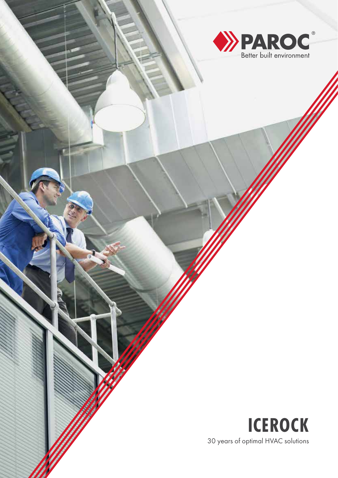

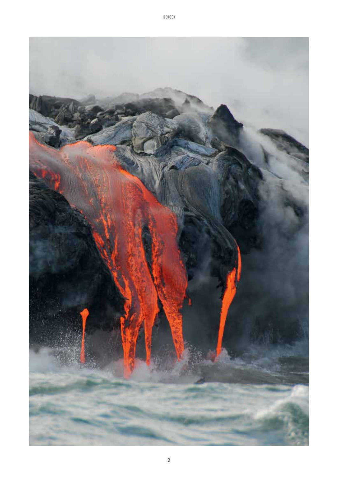

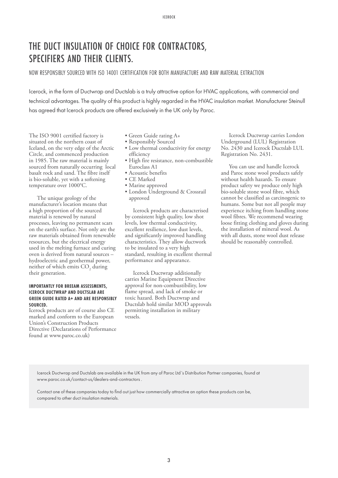## THE DUCT INSULATION OF CHOICE FOR CONTRACTORS, SPECIFIERS AND THEIR CLIENTS.

NOW RESPONSIBLY SOURCED WITH ISO 14001 CERTIFICATION FOR BOTH MANUFACTURE AND RAW MATERIAL EXTRACTION

Icerock, in the form of Ductwrap and Ductslab is a truly attractive option for HVAC applications, with commercial and technical advantages. The quality of this product is highly regarded in the HVAC insulation market. Manufacturer Steinull has agreed that Icerock products are offered exclusively in the UK only by Paroc.

The ISO 9001 certified factory is situated on the northern coast of Iceland, on the very edge of the Arctic Circle, and commenced production in 1985. The raw material is mainly sourced from naturally occurring local basalt rock and sand. The fibre itself is bio-soluble, yet with a softening temperature over 1000°C.

The unique geology of the manufacturer's location means that a high proportion of the sourced material is renewed by natural processes, leaving no permanent scars on the earth's surface. Not only are the raw materials obtained from renewable resources, but the electrical energy used in the melting furnace and curing oven is derived from natural sources – hydroelectric and geothermal power, neither of which emits  $CO<sub>2</sub>$  during their generation.

#### **IMPORTANTLY FOR BREEAM ASSESSMENTS, ICEROCK DUCTWRAP AND DUCTSLAB ARE GREEN GUIDE RATED A+ AND ARE RESPONSIBLY SOURCED.**

Icerock products are of course also CE marked and conform to the European Union's Construction Products Directive (Declarations of Performance found at www.paroc.co.uk)

- Green Guide rating A+
- Responsibly Sourced
- Low thermal conductivity for energy efficiency
- High fire resistance, non-combustible Euroclass A1
- Acoustic benefits
- CE Marked
- Marine approved
- London Underground & Crossrail approved

Icerock products are characterised by consistent high quality, low shot levels, low thermal conductivity, excellent resilience, low dust levels, and significantly improved handling characteristics. They allow ductwork to be insulated to a very high standard, resulting in excellent thermal performance and appearance.

Icerock Ductwrap additionally carries Marine Equipment Directive approval for non-combustibility, low flame spread, and lack of smoke or toxic hazard. Both Ductwrap and Ductslab hold similar MOD approvals permitting installation in military vessels.

Icerock Ductwrap carries London Underground (LUL) Registration No. 2430 and Icerock Ductslab LUL Registration No. 2431.

You can use and handle Icerock and Paroc stone wool products safely without health hazards. To ensure product safety we produce only high bio-soluble stone wool fibre, which cannot be classified as carcinogenic to humans. Some but not all people may experience itching from handling stone wool fibres. We recommend wearing loose fitting clothing and gloves during the installation of mineral wool. As with all dusts, stone wool dust release should be reasonably controlled.

Icerock Ductwrap and Ductslab are available in the UK from any of Paroc Ltd´s Distribution Partner companies, found at www.paroc.co.uk/contact-us/dealers-and-contractors .

Contact one of these companies today to find out just how commercially attractive an option these products can be, compared to other duct insulation materials.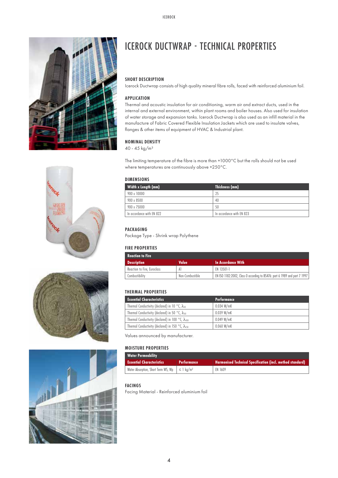

# ICEROCK DUCTWRAP - TECHNICAL PROPERTIES

#### **SHORT DESCRIPTION**

Icerock Ductwrap consists of high quality mineral fibre rolls, faced with reinforced aluminium foil.

#### **APPLICATION**

Thermal and acoustic insulation for air conditioning, warm air and extract ducts, used in the internal and external environment, within plant rooms and boiler houses. Also used for insulation of water storage and expansion tanks. Icerock Ductwrap is also used as an infill material in the manufacture of Fabric Covered Flexible Insulation Jackets which are used to insulate valves, flanges & other items of equipment of HVAC & Industrial plant.

#### **NOMINAL DENSITY**

40 - 45 kg/m³

The limiting temperature of the fibre is more than +1000°C but the rolls should not be used where temperatures are continuously above +250°C.

#### **DIMENSIONS**

| Width x Length (mm)       | Thickness (mm)            |
|---------------------------|---------------------------|
| 900 x 10000               | 25                        |
| 900 x 8500                | 40                        |
| 900 x 75000               | 50                        |
| In accordance with EN 822 | In accordance with EN 823 |

### **PACKAGING**

Package Type - Shrink wrap Polythene

#### **FIRE PROPERTIES**

| Reaction to Fire                  |    |                                                                           |  |  |
|-----------------------------------|----|---------------------------------------------------------------------------|--|--|
| Value<br><b>Description</b>       |    | <b>In Accordance With</b>                                                 |  |  |
| Reaction to Fire, Euroclass       | A1 | EN 13501-1                                                                |  |  |
| Combustibility<br>Non-Combustible |    | EN ISO 1182:2002, Class 0 according to BS476: part 6 1989 and part 7 1997 |  |  |

#### **THERMAL PROPERTIES**

| <b>Essential Characteristics</b>                           | Performance |
|------------------------------------------------------------|-------------|
| Thermal Conductivity (declared) in 10 °C, $\lambda_{10}$   | 0.034 W/mK  |
| Thermal Conductivity (declared) in 50 °C, $\lambda_{50}$   | 0.039 W/mK  |
| Thermal Conductivity (declared) in 100 °C, $\lambda_{100}$ | 0.049 W/mK  |
| Thermal Conductivity (declared) in 150 °C, $\lambda_{150}$ | 0.060 W/mK  |

Values announced by manufacturer.

#### **MOISTURE PROPERTIES**

| <b>Water Permeability</b>                                      |             |                                                                   |  |  |
|----------------------------------------------------------------|-------------|-------------------------------------------------------------------|--|--|
| <b>Essential Characteristics</b>                               | Performance | <b>Harmonised Technical Specification (incl. method standard)</b> |  |  |
| Water Absorption, Short Term WS, $Wp \leq 1$ kg/m <sup>2</sup> |             | EN 1609                                                           |  |  |

#### **FACINGS**

Facing Material - Reinforced aluminium foil





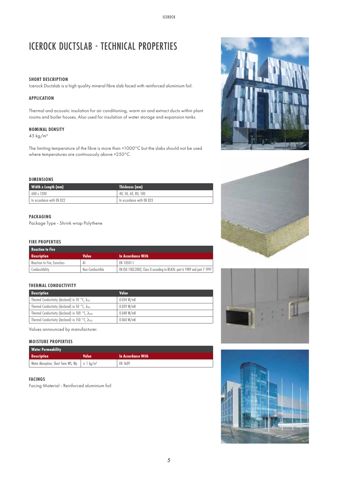## ICEROCK DUCTSLAB - TECHNICAL PROPERTIES

### **SHORT DESCRIPTION**

Icerock Ductslab is a high quality mineral fibre slab faced with reinforced aluminium foil.

### **APPLICATION**

Thermal and acoustic insulation for air conditioning, warm air and extract ducts within plant rooms and boiler houses. Also used for insulation of water storage and expansion tanks.

#### **NOMINAL DENSITY**

 $45 \text{ kg/m}^3$ 

The limiting temperature of the fibre is more than +1000°C but the slabs should not be used where temperatures are continuously above +250°C.

### **DIMENSIONS**

| Width x Length (mm)       | Thickness (mm)            |
|---------------------------|---------------------------|
| 600 x 1200                | 40, 50, 60, 80, 100       |
| In accordance with EN 822 | In accordance with EN 823 |

#### **PACKAGING**

Package Type - Shrink wrap Polythene

### **FIRE PROPERTIES**

| <b>Reaction to Fire</b>     |                 |                                                                           |  |  |
|-----------------------------|-----------------|---------------------------------------------------------------------------|--|--|
| Value<br><b>Description</b> |                 | In Accordance With                                                        |  |  |
| Reaction to Fire, Euroclass | A1              | EN 13501-1                                                                |  |  |
| Combustibility              | Non-Combustible | EN ISO 1182:2002, Class 0 according to BS476: part 6 1989 and part 7 1997 |  |  |

#### **THERMAL CONDUCTIVITY**

| <b>Description</b>                                         | Value      |
|------------------------------------------------------------|------------|
| Thermal Conductivity (declared) in 10 °C, $\lambda_{10}$   | 0.034 W/mK |
| Thermal Conductivity (declared) in 50 °C, $\lambda_{50}$   | 0.039 W/mK |
| Thermal Conductivity (declared) in 100 °C, $\lambda_{100}$ | 0.048 W/mK |
| Thermal Conductivity (declared) in 150 °C, $\lambda_{150}$ | 0.060 W/mK |

Values announced by manufacturer.

## **MOISTURE PROPERTIES**

| <b>Water Permeability</b>                                        |       |                           |  |
|------------------------------------------------------------------|-------|---------------------------|--|
| <b>Description</b>                                               | Value | <b>In Accordance With</b> |  |
| Water Absorption, Short Term WS, $Wp \mid \leq 1 \text{ kg/m}^2$ |       | EN 1609                   |  |

#### **FACINGS**

Facing Material - Reinforced aluminium foil







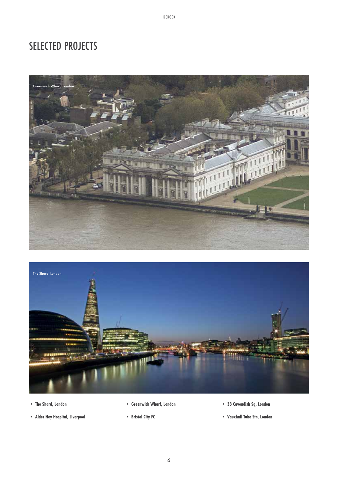## SELECTED PROJECTS





- **The Shard, London**
- **Alder Hey Hospital, Liverpool**
- **Greenwich Wharf, London**
- **Bristol City FC**
- **33 Cavendish Sq, London**
- **Vauxhall Tube Stn, London**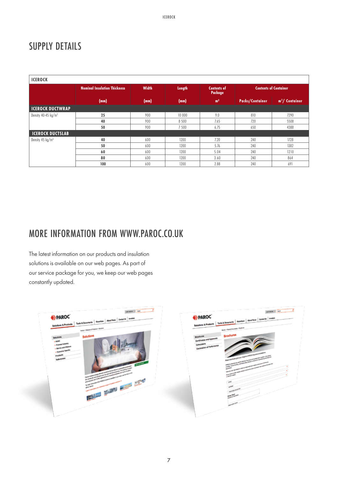## SUPPLY DETAILS

| <b>ICEROCK</b>                |                                     |              |         |                               |                        |                              |  |
|-------------------------------|-------------------------------------|--------------|---------|-------------------------------|------------------------|------------------------------|--|
|                               | <b>Nominal Insulation Thickness</b> | <b>Width</b> | Length  | <b>Contents of</b><br>Package |                        | <b>Contents of Container</b> |  |
|                               | (mm)                                | (mm)         | (mm)    | m <sup>2</sup>                | <b>Packs/Container</b> | $m^2$ Container              |  |
| <b>ICEROCK DUCTWRAP</b>       |                                     |              |         |                               |                        |                              |  |
| Density 40-45 $\text{kg/m}^3$ | 25                                  | 900          | 10 000  | 9.0                           | 810                    | 7290                         |  |
|                               | 40                                  | 900          | 8 5 0 0 | 7.65                          | 720                    | 5508                         |  |
|                               | 50                                  | 900          | 7 500   | 6.75                          | 650                    | 4388                         |  |
| <b>ICEROCK DUCTSLAB</b>       |                                     |              |         |                               |                        |                              |  |
| Density 45 kg/m <sup>3</sup>  | 40                                  | 600          | 1200    | 7.20                          | 240                    | 1728                         |  |
|                               | 50                                  | 600          | 1200    | 5.76                          | 240                    | 1382                         |  |
|                               | 60                                  | 600          | 1200    | 5.04                          | 240                    | 1210                         |  |
|                               | 80                                  | 600          | 1200    | 3.60                          | 240                    | 864                          |  |
|                               | 100                                 | 600          | 1200    | 2.88                          | 240                    | 691                          |  |

## MORE INFORMATION FROM WWW.PAROC.CO.UK

The latest information on our products and insulation solutions is available on our web pages. As part of our service package for you, we keep our web pages constantly updated.